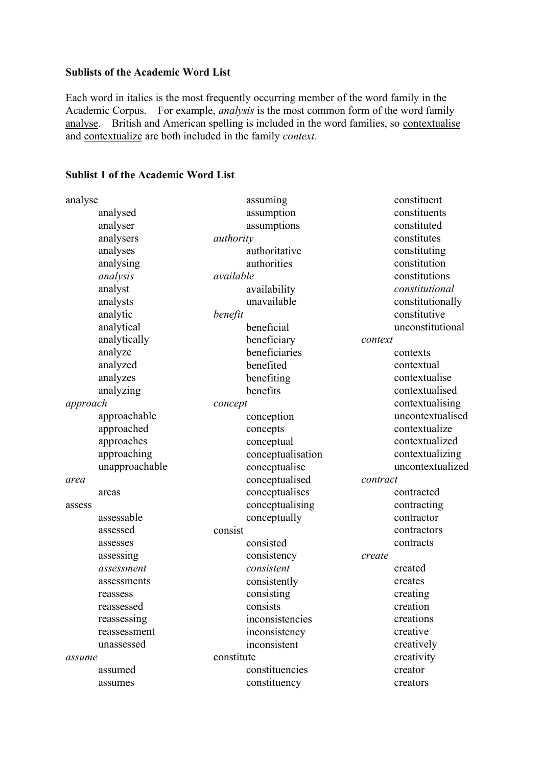### **Sublists of the Academic Word List**

Each word in italics is the most frequently occurring member of the word family in the Academic Corpus.For example, *analysis* is the most common form of the word family analyse. British and American spelling is included in the word families, so contextualise and contextualize are both included in the family *context*.

| analyse        | assuming          | constituent      |
|----------------|-------------------|------------------|
| analysed       | assumption        | constituents     |
| analyser       | assumptions       | constituted      |
| analysers      | authority         | constitutes      |
| analyses       | authoritative     | constituting     |
| analysing      | authorities       | constitution     |
| analysis       | available         | constitutions    |
| analyst        | availability      | constitutional   |
| analysts       | unavailable       | constitutionally |
| analytic       | benefit           | constitutive     |
| analytical     | beneficial        | unconstitutional |
| analytically   | beneficiary       | context          |
| analyze        | beneficiaries     | contexts         |
| analyzed       | benefited         | contextual       |
| analyzes       | benefiting        | contextualise    |
| analyzing      | benefits          | contextualised   |
| approach       | concept           | contextualising  |
| approachable   | conception        | uncontextualised |
| approached     | concepts          | contextualize    |
| approaches     | conceptual        | contextualized   |
| approaching    | conceptualisation | contextualizing  |
| unapproachable | conceptualise     | uncontextualized |
| area           | conceptualised    | contract         |
| areas          | conceptualises    | contracted       |
| assess         | conceptualising   | contracting      |
| assessable     | conceptually      | contractor       |
| assessed       | consist           | contractors      |
| assesses       | consisted         | contracts        |
| assessing      | consistency       | create           |
| assessment     | consistent        | created          |
| assessments    | consistently      | creates          |
| reassess       | consisting        | creating         |
| reassessed     | consists          | creation         |
| reassessing    | inconsistencies   | creations        |
| reassessment   | inconsistency     | creative         |
| unassessed     | inconsistent      | creatively       |
| assume         | constitute        | creativity       |
| assumed        | constituencies    | creator          |
| assumes        | constituency      | creators         |

### **Sublist 1 of the Academic Word List**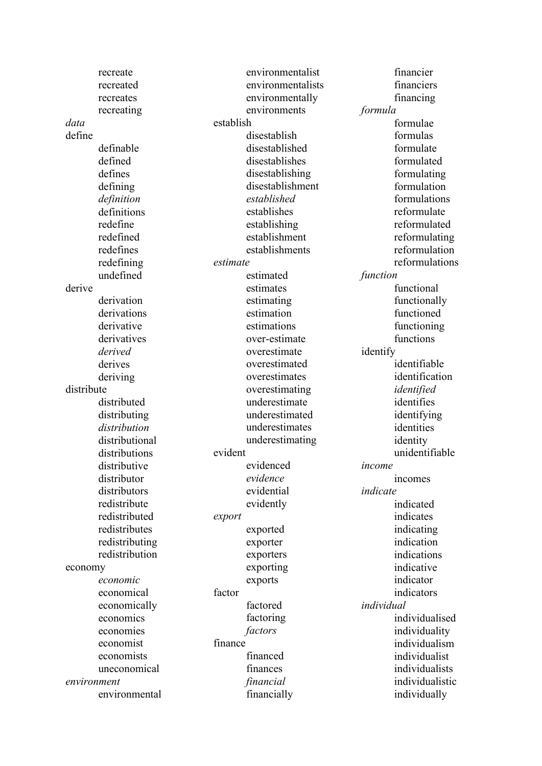recreate recreated recreates recreating *data* define definable defined defines defining *definition* definitions redefine redefined redefines redefining undefined derive derivation derivations derivative derivatives *derived* derives deriving distribute distributed distributing *distribution*  distributional distributions distributive distributor distributors redistribute redistributed redistributes redistributing redistribution economy *economic* economical economically economics economies economist economists uneconomical *environment*  environmental

environmentalist environmentalists environmentally environments establish disestablish disestablished disestablishes disestablishing disestablishment *established* establishes establishing establishment establishments *estimate*  estimated estimates estimating estimation estimations over-estimate overestimate overestimated overestimates overestimating underestimate underestimated underestimates underestimating evident evidenced *evidence* evidential evidently *export* exported exporter exporters exporting exports factor factored factoring *factors* finance financed finances *financial* financially

financier financiers financing *formula* formulae formulas formulate formulated formulating formulation formulations reformulate reformulated reformulating reformulation reformulations *function* functional functionally functioned functioning functions identify identifiable identification *identified* identifies identifying identities identity unidentifiable *income* incomes *indicate*  indicated indicates indicating indication indications indicative indicator indicators *individual*  individualised individuality individualism individualist individualists individualistic individually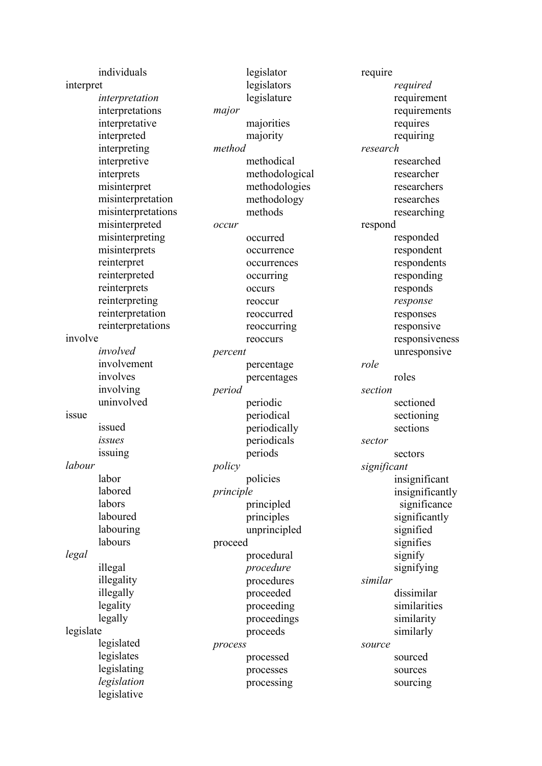|           | individuals                |           | legislator     | require     |                            |
|-----------|----------------------------|-----------|----------------|-------------|----------------------------|
| interpret |                            |           | legislators    |             | required                   |
|           | interpretation             |           | legislature    |             | requirement                |
|           | interpretations            | major     |                |             | requirements               |
|           | interpretative             |           | majorities     |             | requires                   |
|           | interpreted                |           | majority       |             | requiring                  |
|           | interpreting               | method    |                | research    |                            |
|           | interpretive               |           | methodical     |             | researched                 |
|           | interprets                 |           | methodological |             | researcher                 |
|           | misinterpret               |           | methodologies  |             | researchers                |
|           | misinterpretation          |           | methodology    |             | researches                 |
|           | misinterpretations         |           | methods        |             | researching                |
|           | misinterpreted             | occur     |                | respond     |                            |
|           | misinterpreting            |           | occurred       |             | responded                  |
|           | misinterprets              |           | occurrence     |             | respondent                 |
|           | reinterpret                |           | occurrences    |             | respondents                |
|           | reinterpreted              |           | occurring      |             | responding                 |
|           | reinterprets               |           | occurs         |             | responds                   |
|           | reinterpreting             |           | reoccur        |             | response                   |
|           | reinterpretation           |           | reoccurred     |             | responses                  |
|           | reinterpretations          |           | reoccurring    |             | responsive                 |
| involve   |                            |           | reoccurs       |             | responsiveness             |
|           | involved                   | percent   |                |             | unresponsive               |
|           | involvement                |           | percentage     | role        |                            |
|           | involves                   |           | percentages    |             | roles                      |
|           | involving                  | period    |                | section     |                            |
|           | uninvolved                 |           | periodic       |             | sectioned                  |
| 1SSue     |                            |           | periodical     |             | sectioning                 |
|           | issued                     |           | periodically   |             | sections                   |
|           | issues                     |           | periodicals    | sector      |                            |
|           | issuing                    |           | periods        |             | sectors                    |
| labour    |                            | policy    |                |             |                            |
|           |                            |           |                |             |                            |
|           | labor                      |           |                | significant |                            |
|           |                            |           | policies       |             | insignificant              |
|           | labored                    | principle |                |             | insignificantly            |
|           | labors<br>laboured         |           | principled     |             | significance               |
|           |                            |           | principles     |             | significantly              |
|           | labouring<br>labours       |           | unprincipled   |             | signified                  |
|           |                            | proceed   |                |             | signifies                  |
| legal     |                            |           | procedural     |             | signify                    |
|           | illegal                    |           | procedure      |             | signifying                 |
|           | illegality<br>illegally    |           | procedures     | similar     |                            |
|           |                            |           | proceeded      |             | dissimilar<br>similarities |
|           | legality                   |           | proceeding     |             |                            |
|           | legally                    |           | proceedings    |             | similarity                 |
| legislate | legislated                 |           | proceeds       | source      | similarly                  |
|           |                            | process   |                |             |                            |
|           | legislates                 |           | processed      |             | sourced                    |
|           | legislating                |           | processes      |             | sources                    |
|           | legislation<br>legislative |           | processing     |             | sourcing                   |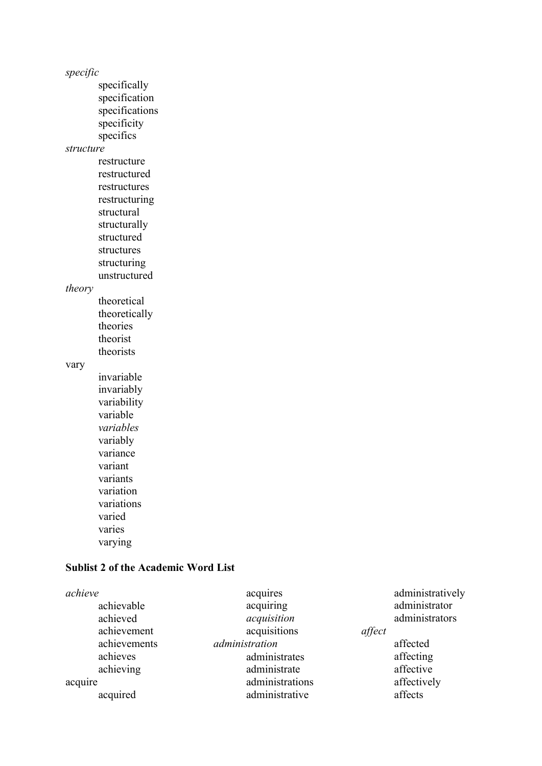*specific* specifically specification specifications specificity specifics *structure* restructure restructured restructures restructuring structural structurally structured structures structuring unstructured *theory* theoretical theoretically theories theorist theorists vary invariable invariably variability variable *variables* variably variance variant

variants variation variations varied varies

varying

### **Sublist 2 of the Academic Word List**

| achieve      | acquires        |        | administratively |
|--------------|-----------------|--------|------------------|
| achievable   | acquiring       |        | administrator    |
| achieved     | acquisition     |        | administrators   |
| achievement  | acquisitions    | affect |                  |
| achievements | administration  |        | affected         |
| achieves     | administrates   |        | affecting        |
| achieving    | administrate    |        | affective        |
| acquire      | administrations |        | affectively      |
| acquired     | administrative  |        | affects          |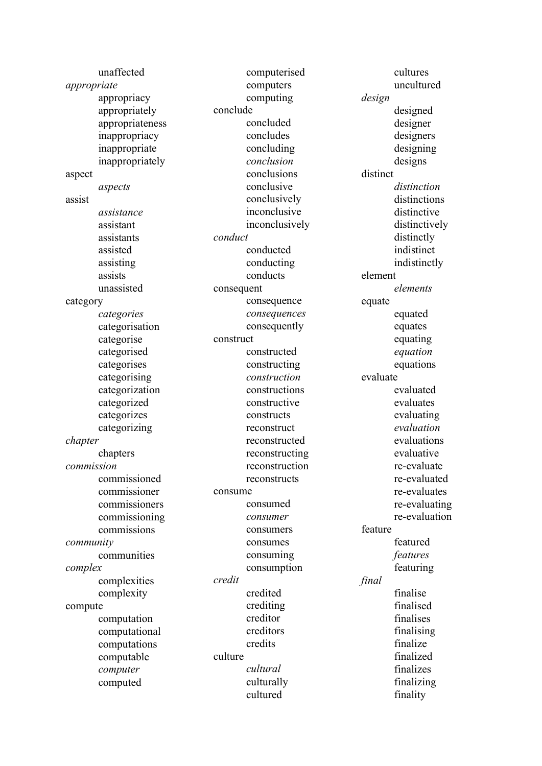|             | unaffected      |           | computerised   |          | cultures      |
|-------------|-----------------|-----------|----------------|----------|---------------|
| appropriate |                 |           | computers      |          | uncultured    |
|             | appropriacy     |           | computing      | design   |               |
|             | appropriately   | conclude  |                |          | designed      |
|             | appropriateness |           | concluded      |          | designer      |
|             | inappropriacy   |           | concludes      |          | designers     |
|             | inappropriate   |           | concluding     |          | designing     |
|             | inappropriately |           | conclusion     |          | designs       |
| aspect      |                 |           | conclusions    | distinct |               |
|             | aspects         |           | conclusive     |          | distinction   |
| assist      |                 |           | conclusively   |          | distinctions  |
|             | assistance      |           | inconclusive   |          | distinctive   |
|             | assistant       |           | inconclusively |          | distinctively |
|             | assistants      | conduct   |                |          | distinctly    |
|             | assisted        |           | conducted      |          | indistinct    |
|             | assisting       |           | conducting     |          | indistinctly  |
|             | assists         |           | conducts       | element  |               |
|             | unassisted      |           | consequent     |          | elements      |
| category    |                 |           | consequence    | equate   |               |
|             | categories      |           | consequences   |          | equated       |
|             | categorisation  |           | consequently   |          | equates       |
|             | categorise      | construct |                |          | equating      |
|             | categorised     |           | constructed    |          | equation      |
|             | categorises     |           | constructing   |          | equations     |
|             | categorising    |           | construction   | evaluate |               |
|             | categorization  |           | constructions  |          | evaluated     |
|             | categorized     |           | constructive   |          | evaluates     |
|             | categorizes     |           | constructs     |          | evaluating    |
|             | categorizing    |           | reconstruct    |          | evaluation    |
| chapter     |                 |           | reconstructed  |          | evaluations   |
|             | chapters        |           | reconstructing |          | evaluative    |
| commission  |                 |           | reconstruction |          | re-evaluate   |
|             | commissioned    |           | reconstructs   |          | re-evaluated  |
|             | commissioner    | consume   |                |          | re-evaluates  |
|             | commissioners   |           | consumed       |          | re-evaluating |
|             | commissioning   |           | consumer       |          | re-evaluation |
|             | commissions     |           | consumers      | feature  |               |
| community   |                 |           | consumes       |          | featured      |
|             | communities     |           | consuming      |          | features      |
| complex     |                 |           | consumption    |          | featuring     |
|             | complexities    | credit    |                | final    |               |
|             | complexity      |           | credited       |          | finalise      |
| compute     |                 |           | crediting      |          | finalised     |
|             | computation     |           | creditor       |          | finalises     |
|             | computational   |           | creditors      |          | finalising    |
|             | computations    |           | credits        |          | finalize      |
|             | computable      | culture   |                |          | finalized     |
|             | computer        |           | cultural       |          | finalizes     |
|             | computed        |           | culturally     |          | finalizing    |
|             |                 |           | cultured       |          | finality      |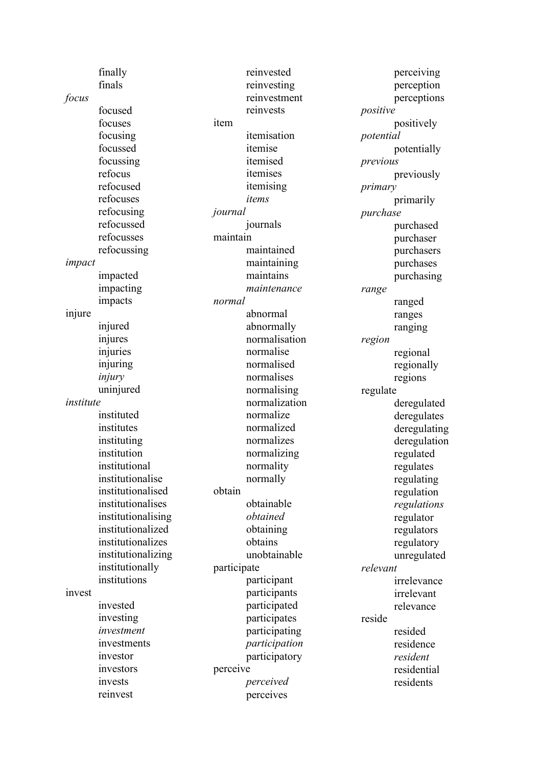finally finals *focus* focused focuses focusing focussed focussing refocus refocused refocuses refocusing refocussed refocusses refocussing *impact* impacted impacting impacts injure injured injures injuries injuring *injury* uninjured *institute*  instituted institutes instituting institution institutional institutionalise institutionalised institutionalises institutionalising institutionalized institutionalizes institutionalizing institutionally institutions invest invested investing *investment* investments investor investors invests item *journal*  maintain *normal* obtain participate perceive

reinvest

reinvested reinvesting reinvestment reinvests itemisation itemise itemised itemises itemising *items* journals maintained maintaining maintains *maintenance* abnormal abnormally normalisation normalise normalised normalises normalising normalization normalize normalized normalizes normalizing normality normally obtainable *obtained* obtaining obtains unobtainable participant participants participated participates participating *participation* participatory *perceived*  perceives

perceiving perception perceptions *positive*  positively *potential* potentially *previous* previously *primary*  primarily *purchase*  purchased purchaser purchasers purchases purchasing *range*  ranged ranges ranging *region* regional regionally regions regulate deregulated deregulates deregulating deregulation regulated regulates regulating regulation *regulations* regulator regulators regulatory unregulated *relevant*  irrelevance irrelevant relevance reside resided residence *resident* residential residents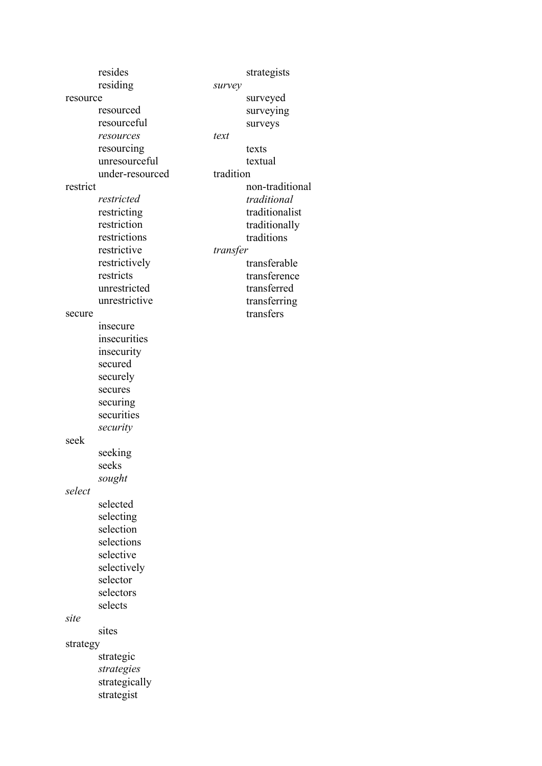| resides         | strategists     |
|-----------------|-----------------|
| residing        | survey          |
| resource        | surveyed        |
| resourced       | surveying       |
| resourceful     | surveys         |
| resources       | text            |
| resourcing      | texts           |
| unresourceful   | textual         |
| under-resourced | tradition       |
| restrict        | non-traditional |
| restricted      | traditional     |
| restricting     | traditionalist  |
| restriction     | traditionally   |
| restrictions    | traditions      |
| restrictive     | transfer        |
| restrictively   | transferable    |
| restricts       | transference    |
| unrestricted    | transferred     |
| unrestrictive   | transferring    |
| secure          | transfers       |
| insecure        |                 |
| insecurities    |                 |
| insecurity      |                 |
| secured         |                 |
| securely        |                 |
| secures         |                 |
| securing        |                 |
| securities      |                 |
| security        |                 |
| seek            |                 |
| seeking         |                 |
| seeks           |                 |
| sought          |                 |
| select          |                 |
| selected        |                 |
| selecting       |                 |
| selection       |                 |
| selections      |                 |
| selective       |                 |
| selectively     |                 |
| selector        |                 |
| selectors       |                 |
| selects         |                 |
| site            |                 |
| sites           |                 |
| strategy        |                 |
| strategic       |                 |
| strategies      |                 |
| strategically   |                 |
| strategist      |                 |
|                 |                 |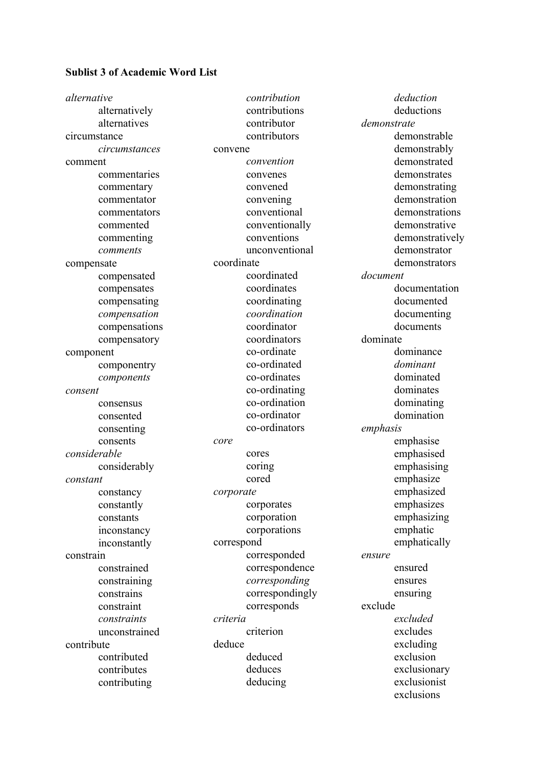## **Sublist 3 of Academic Word List**

| alternative   |            | contribution    |             | deduction       |
|---------------|------------|-----------------|-------------|-----------------|
| alternatively |            | contributions   |             | deductions      |
| alternatives  |            | contributor     | demonstrate |                 |
| circumstance  |            | contributors    |             | demonstrable    |
| circumstances | convene    |                 |             | demonstrably    |
| comment       |            | convention      |             | demonstrated    |
| commentaries  |            | convenes        |             | demonstrates    |
| commentary    |            | convened        |             | demonstrating   |
| commentator   |            | convening       |             | demonstration   |
| commentators  |            | conventional    |             | demonstrations  |
| commented     |            | conventionally  |             | demonstrative   |
| commenting    |            | conventions     |             | demonstratively |
| comments      |            | unconventional  |             | demonstrator    |
| compensate    | coordinate |                 |             | demonstrators   |
| compensated   |            | coordinated     | document    |                 |
| compensates   |            | coordinates     |             | documentation   |
| compensating  |            | coordinating    |             | documented      |
| compensation  |            | coordination    |             | documenting     |
| compensations |            | coordinator     |             | documents       |
| compensatory  |            | coordinators    | dominate    |                 |
| component     |            | co-ordinate     |             | dominance       |
| componentry   |            | co-ordinated    |             | dominant        |
| components    |            | co-ordinates    |             | dominated       |
| consent       |            | co-ordinating   |             | dominates       |
| consensus     |            | co-ordination   |             | dominating      |
| consented     |            | co-ordinator    |             | domination      |
| consenting    |            | co-ordinators   | emphasis    |                 |
| consents      | core       |                 |             | emphasise       |
| considerable  | cores      |                 |             | emphasised      |
| considerably  | coring     |                 |             | emphasising     |
| constant      | cored      |                 |             | emphasize       |
| constancy     | corporate  |                 |             | emphasized      |
| constantly    |            | corporates      |             | emphasizes      |
| constants     |            | corporation     |             | emphasizing     |
| inconstancy   |            | corporations    |             | emphatic        |
| inconstantly  | correspond |                 |             | emphatically    |
| constrain     |            | corresponded    | ensure      |                 |
| constrained   |            | correspondence  |             | ensured         |
| constraining  |            | corresponding   |             | ensures         |
| constrains    |            | correspondingly |             | ensuring        |
| constraint    |            | corresponds     | exclude     |                 |
| constraints   | criteria   |                 |             | excluded        |
| unconstrained |            | criterion       |             | excludes        |
| contribute    | deduce     |                 |             | excluding       |
| contributed   |            | deduced         |             | exclusion       |
| contributes   |            | deduces         |             | exclusionary    |
| contributing  |            | deducing        |             | exclusionist    |
|               |            |                 |             | exclusions      |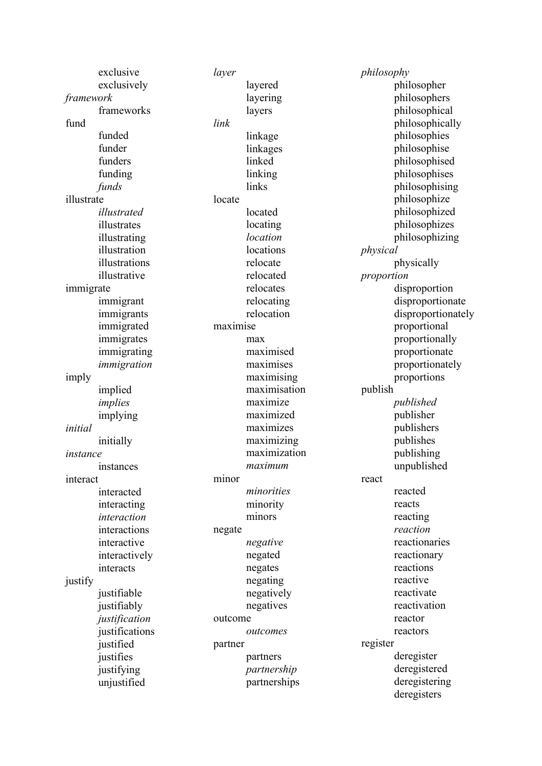| exclusive      | layer                      | philosophy             |
|----------------|----------------------------|------------------------|
| exclusively    | layered                    | philosopher            |
| framework      | layering                   | philosophers           |
| frameworks     | layers                     | philosophical          |
| fund           | link                       | philosophically        |
| funded         | linkage                    | philosophies           |
| funder         | linkages                   | philosophise           |
| funders        | linked                     | philosophised          |
| funding        | linking                    | philosophises          |
| funds          | links                      | philosophising         |
| illustrate     | locate                     | philosophize           |
| illustrated    | located                    | philosophized          |
| illustrates    | locating                   | philosophizes          |
| illustrating   | location                   | philosophizing         |
| illustration   | locations                  | physical               |
| illustrations  | relocate                   | physically             |
| illustrative   | relocated                  | proportion             |
| immigrate      | relocates                  | disproportion          |
| immigrant      | relocating                 | disproportionate       |
| immigrants     | relocation                 | disproportionately     |
| immigrated     | maximise                   | proportional           |
| immigrates     | max                        | proportionally         |
| immigrating    | maximised                  | proportionate          |
| immigration    | maximises                  | proportionately        |
|                |                            |                        |
| imply          | maximising<br>maximisation | proportions<br>publish |
| implied        | maximize                   |                        |
| implies        |                            | published              |
| implying       | maximized                  | publisher              |
| initial        | maximizes                  | publishers             |
| initially      | maximizing                 | publishes              |
| instance       | maximization               | publishing             |
| instances      | maximum                    | unpublished            |
| interact       | minor                      | react                  |
| interacted     | minorities                 | reacted                |
| interacting    | minority                   | reacts                 |
| interaction    | minors                     | reacting               |
| interactions   | negate                     | reaction               |
| interactive    | negative                   | reactionaries          |
| interactively  | negated                    | reactionary            |
| interacts      | negates                    | reactions              |
| justify        | negating                   | reactive               |
| justifiable    | negatively                 | reactivate             |
| justifiably    | negatives                  | reactivation           |
| justification  | outcome                    | reactor                |
| justifications | outcomes                   | reactors               |
| justified      | partner                    | register               |
| justifies      | partners                   | deregister             |
| justifying     | partnership                | deregistered           |
| unjustified    | partnerships               | deregistering          |
|                |                            | deregisters            |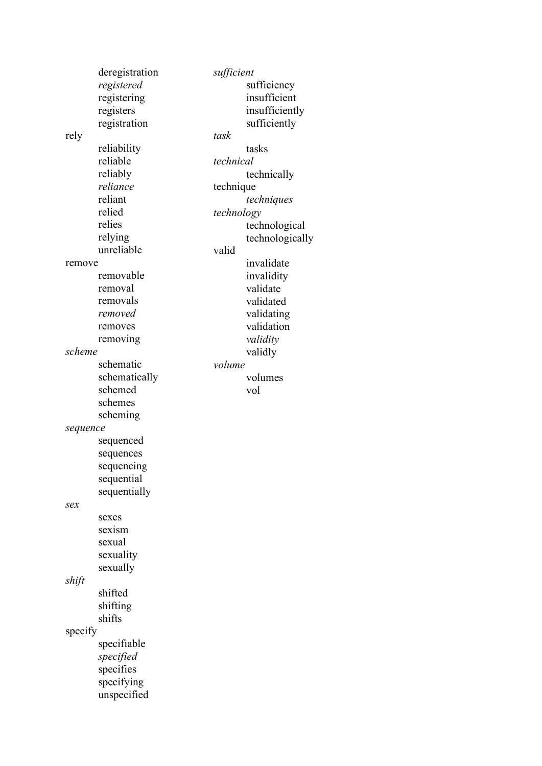|          | deregistration | sufficient |                 |
|----------|----------------|------------|-----------------|
|          | registered     |            | sufficiency     |
|          | registering    |            | insufficient    |
|          | registers      |            | insufficiently  |
|          | registration   |            | sufficiently    |
| rely     |                | task       |                 |
|          | reliability    |            | tasks           |
|          | reliable       | technical  |                 |
|          | reliably       |            |                 |
|          | reliance       |            | technically     |
|          |                | technique  |                 |
|          | reliant        |            | techniques      |
|          | relied         | technology |                 |
|          | relies         |            | technological   |
|          | relying        |            | technologically |
|          | unreliable     | valid      |                 |
| remove   |                |            | invalidate      |
|          | removable      |            | invalidity      |
|          | removal        |            | validate        |
|          | removals       |            | validated       |
|          | removed        |            | validating      |
|          | removes        |            | validation      |
|          | removing       |            | validity        |
| scheme   |                |            | validly         |
|          | schematic      | volume     |                 |
|          | schematically  |            | volumes         |
|          | schemed        |            | vol             |
|          | schemes        |            |                 |
|          | scheming       |            |                 |
|          |                |            |                 |
| sequence |                |            |                 |
|          | sequenced      |            |                 |
|          | sequences      |            |                 |
|          | sequencing     |            |                 |
|          | sequential     |            |                 |
|          | sequentially   |            |                 |
| sex      |                |            |                 |
|          | sexes          |            |                 |
|          | sexism         |            |                 |
|          | sexual         |            |                 |
|          | sexuality      |            |                 |
|          | sexually       |            |                 |
| shift    |                |            |                 |
|          | shifted        |            |                 |
|          | shifting       |            |                 |
|          | shifts         |            |                 |
| specify  |                |            |                 |
|          | specifiable    |            |                 |
|          | specified      |            |                 |
|          | specifies      |            |                 |
|          |                |            |                 |
|          | specifying     |            |                 |
|          | unspecified    |            |                 |
|          |                |            |                 |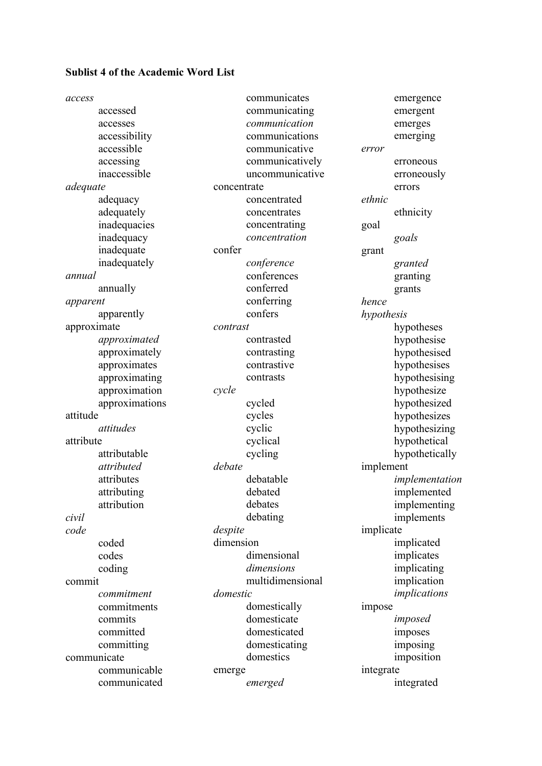# **Sublist 4 of the Academic Word List**

| access      |                |             | communicates     |            | emergence      |
|-------------|----------------|-------------|------------------|------------|----------------|
|             | accessed       |             | communicating    |            | emergent       |
|             | accesses       |             | communication    |            | emerges        |
|             | accessibility  |             | communications   |            | emerging       |
|             | accessible     |             | communicative    | error      |                |
|             | accessing      |             | communicatively  |            | erroneous      |
|             | inaccessible   |             | uncommunicative  |            | erroneously    |
| adequate    |                | concentrate |                  |            | errors         |
|             | adequacy       |             | concentrated     | ethnic     |                |
|             | adequately     |             | concentrates     |            | ethnicity      |
|             | inadequacies   |             | concentrating    | goal       |                |
|             | inadequacy     |             | concentration    |            | goals          |
|             | inadequate     | confer      |                  | grant      |                |
|             | inadequately   |             | conference       |            | granted        |
| annual      |                |             | conferences      |            | granting       |
|             | annually       |             | conferred        |            | grants         |
| apparent    |                |             | conferring       | hence      |                |
|             | apparently     |             | confers          | hypothesis |                |
| approximate |                | contrast    |                  |            | hypotheses     |
|             | approximated   |             | contrasted       |            | hypothesise    |
|             | approximately  |             | contrasting      |            | hypothesised   |
|             | approximates   |             | contrastive      |            | hypothesises   |
|             | approximating  |             | contrasts        |            | hypothesising  |
|             | approximation  | cycle       |                  |            | hypothesize    |
|             | approximations |             | cycled           |            | hypothesized   |
| attitude    |                |             | cycles           |            | hypothesizes   |
|             | attitudes      |             | cyclic           |            | hypothesizing  |
| attribute   |                |             | cyclical         |            | hypothetical   |
|             | attributable   |             | cycling          |            | hypothetically |
|             | attributed     | debate      |                  | implement  |                |
|             | attributes     |             | debatable        |            | implementation |
|             | attributing    |             | debated          |            | implemented    |
|             | attribution    |             | debates          |            | implementing   |
| civil       |                |             | debating         |            | implements     |
| code        |                | despite     |                  | implicate  |                |
|             | coded          | dimension   |                  |            | implicated     |
|             | codes          |             | dimensional      |            | implicates     |
|             | coding         |             | dimensions       |            | implicating    |
| commit      |                |             | multidimensional |            | implication    |
|             | commitment     | domestic    |                  |            | implications   |
|             | commitments    |             | domestically     | impose     |                |
|             | commits        |             | domesticate      |            | imposed        |
|             | committed      |             | domesticated     |            | imposes        |
|             | committing     |             | domesticating    |            | imposing       |
|             | communicate    |             | domestics        |            | imposition     |
|             | communicable   | emerge      |                  | integrate  |                |
|             | communicated   |             | emerged          |            | integrated     |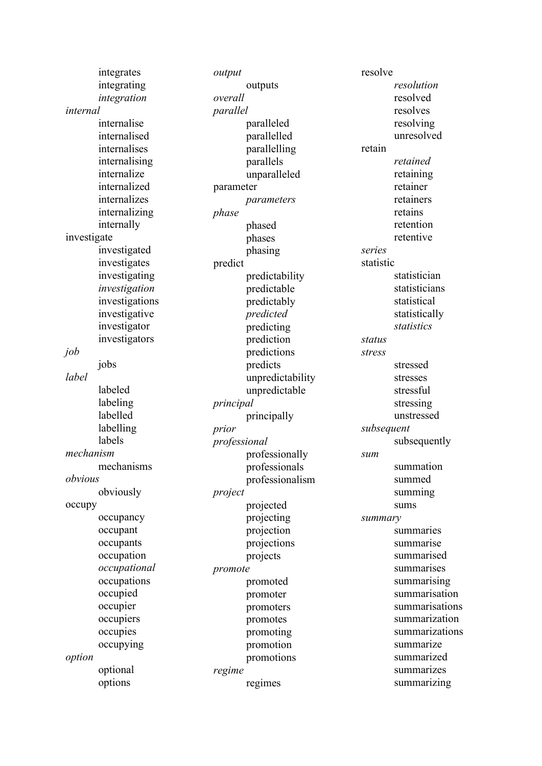integrates integrating *integration internal*  internalise internalised internalises internalising internalize internalized internalizes internalizing internally investigate investigated investigates investigating *investigation* investigations investigative investigator investigators *job* jobs *label* labeled labeling labelled labelling labels *mechanism*  mechanisms *obvious* obviously occupy occupancy occupant occupants occupation *occupational*  occupations occupied occupier occupiers occupies occupying *option* optional options

*output* outputs *overall parallel* paralleled parallelled parallelling parallels unparalleled parameter *parameters phase* phased phases phasing predict predictability predictable predictably *predicted* predicting prediction predictions predicts unpredictability unpredictable *principal* principally *prior professional* professionally professionals professionalism *project* projected projecting projection projections projects *promote* promoted promoter promoters promotes promoting promotion promotions *regime* regimes

resolve *resolution*  resolved resolves resolving unresolved retain *retained* retaining retainer retainers retains retention retentive *series* statistic statistician statisticians statistical statistically *statistics status stress* stressed stresses stressful stressing unstressed *subsequent* subsequently *sum* summation summed summing sums *summary* summaries summarise summarised summarises summarising summarisation summarisations summarization summarizations summarize summarized summarizes summarizing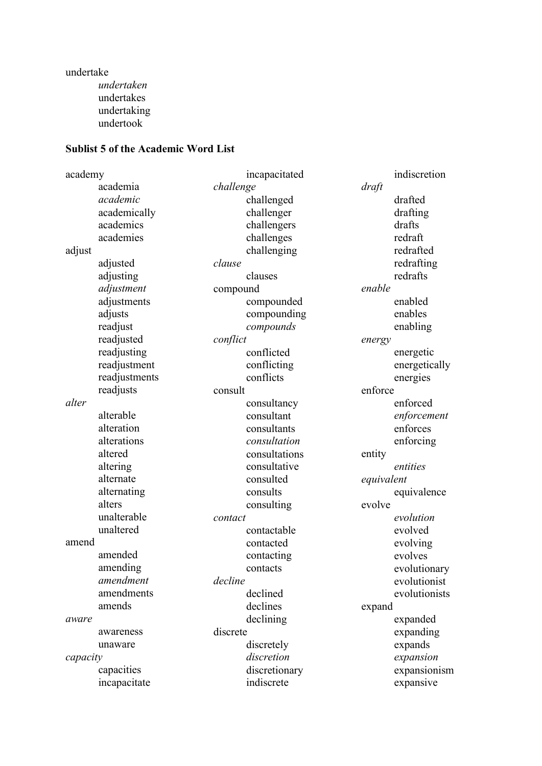undertake *undertaken*  undertakes undertaking undertook

#### **Sublist 5 of the Academic Word List**

academy academia *academic* academically academics academies adjust adjusted adjusting *adjustment*  adjustments adjusts readjust readjusted readjusting readjustment readjustments readjusts *alter*  alterable alteration alterations altered altering alternate alternating alters unalterable unaltered amend amended amending *amendment*  amendments amends *aware*  awareness unaware *capacity*  capacities incapacitate incapacitated *challenge*  challenged challenger challengers challenges challenging *clause*  clauses compound compounded compounding *compounds conflict*  conflicted conflicting conflicts consult consultancy consultant consultants *consultation*  consultations consultative consulted consults consulting *contact*  contactable contacted contacting contacts *decline*  declined declines declining discrete discretely *discretion*  discretionary indiscrete indiscretion *draft*  drafted drafting drafts redraft redrafted redrafting redrafts *enable*  enabled enables enabling *energy*  energetic energetically energies enforce enforced *enforcement*  enforces enforcing entity *entities equivalent*  equivalence evolve *evolution* evolved evolving evolves evolutionary evolutionist evolutionists expand expanded expanding expands *expansion*  expansionism expansive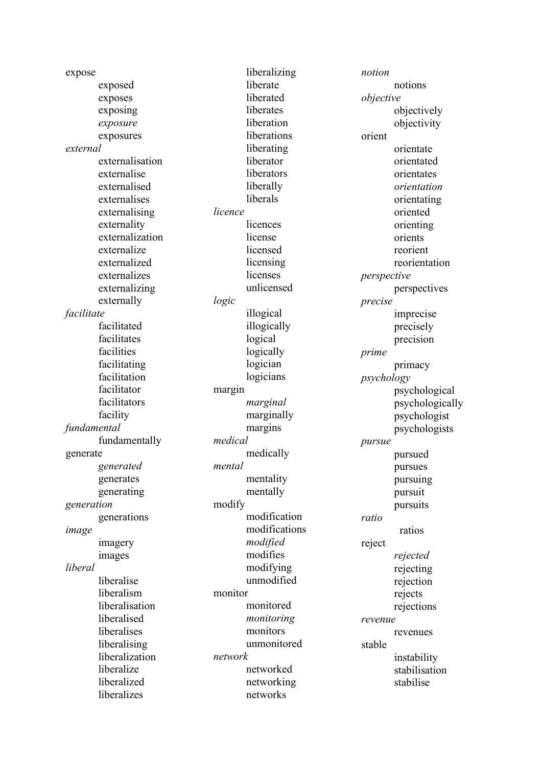expose exposed exposes exposing *exposure*  exposures *external*  externalisation externalise externalised externalises externalising externality externalization externalize externalized externalizes externalizing externally *facilitate*  facilitated facilitates facilities facilitating facilitation facilitator facilitators facility *fundamental*  fundamentally generate *generated*  generates generating *generation*  generations *image*  imagery images *liberal* liberalise liberalism liberalisation liberalised liberalises liberalising liberalization liberalize liberalized liberalizes

liberalizing liberate liberated liberates liberation liberations liberating liberator liberators liberally liberals *licence*  licences license licensed licensing licenses unlicensed *logic*  illogical illogically logical logically logician logicians margin *marginal*  marginally margins *medical*  medically *mental*  mentality mentally modify modification modifications *modified*  modifies modifying unmodified monitor monitored *monitoring*  monitors unmonitored *network*  networked networking networks

*notion*  notions *objective*  objectively objectivity orient orientate orientated orientates *orientation* orientating oriented orienting orients reorient reorientation *perspective*  perspectives *precise*  imprecise precisely precision *prime*  primacy *psychology*  psychological psychologically psychologist psychologists *pursue*  pursued pursues pursuing pursuit pursuits *ratio*  ratios reject *rejected*  rejecting rejection rejects rejections *revenue*  revenues stable instability stabilisation stabilise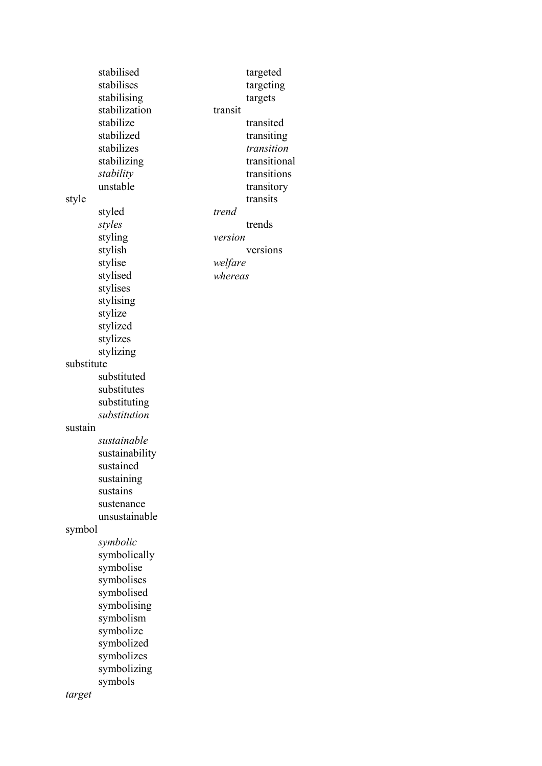|            | stabilised     |         | targeted     |
|------------|----------------|---------|--------------|
|            | stabilises     |         | targeting    |
|            | stabilising    |         | targets      |
|            | stabilization  | transit |              |
|            |                |         | transited    |
|            | stabilize      |         |              |
|            | stabilized     |         | transiting   |
|            | stabilizes     |         | transition   |
|            | stabilizing    |         | transitional |
|            | stability      |         | transitions  |
|            | unstable       |         | transitory   |
| style      |                |         | transits     |
|            | styled         | trend   |              |
|            | styles         |         | trends       |
|            | styling        | version |              |
|            | stylish        |         | versions     |
|            | stylise        | welfare |              |
|            | stylised       | whereas |              |
|            |                |         |              |
|            | stylises       |         |              |
|            | stylising      |         |              |
|            | stylize        |         |              |
|            | stylized       |         |              |
|            | stylizes       |         |              |
|            | stylizing      |         |              |
| substitute |                |         |              |
|            | substituted    |         |              |
|            | substitutes    |         |              |
|            | substituting   |         |              |
|            | substitution   |         |              |
| sustain    |                |         |              |
|            | sustainable    |         |              |
|            |                |         |              |
|            | sustainability |         |              |
|            | sustained      |         |              |
|            | sustaining     |         |              |
|            | sustains       |         |              |
|            | sustenance     |         |              |
|            | unsustainable  |         |              |
| symbol     |                |         |              |
|            | symbolic       |         |              |
|            | symbolically   |         |              |
|            | symbolise      |         |              |
|            | symbolises     |         |              |
|            | symbolised     |         |              |
|            | symbolising    |         |              |
|            | symbolism      |         |              |
|            |                |         |              |
|            | symbolize      |         |              |
|            | symbolized     |         |              |
|            | symbolizes     |         |              |
|            | symbolizing    |         |              |
|            | symbols        |         |              |
| target     |                |         |              |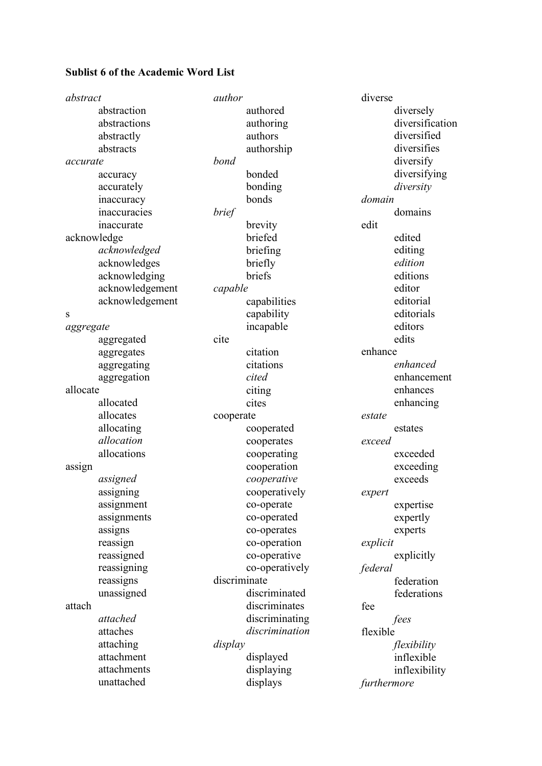# **Sublist 6 of the Academic Word List**

| abstract  |                 | author       |                | diverse  |                 |
|-----------|-----------------|--------------|----------------|----------|-----------------|
|           | abstraction     |              | authored       |          | diversely       |
|           | abstractions    |              | authoring      |          | diversification |
|           | abstractly      |              | authors        |          | diversified     |
|           | abstracts       |              | authorship     |          | diversifies     |
| accurate  |                 | bond         |                |          | diversify       |
|           | accuracy        |              | bonded         |          | diversifying    |
|           | accurately      |              | bonding        |          | diversity       |
|           | inaccuracy      |              | bonds          | domain   |                 |
|           | inaccuracies    | brief        |                |          | domains         |
|           | inaccurate      |              | brevity        | edit     |                 |
|           | acknowledge     |              | briefed        |          | edited          |
|           | acknowledged    |              | briefing       |          | editing         |
|           | acknowledges    |              | briefly        |          | edition         |
|           | acknowledging   |              | briefs         |          | editions        |
|           | acknowledgement | capable      |                |          | editor          |
|           | acknowledgement |              | capabilities   |          | editorial       |
| S         |                 |              | capability     |          | editorials      |
| aggregate |                 |              | incapable      |          | editors         |
|           | aggregated      | cite         |                |          | edits           |
|           | aggregates      |              | citation       | enhance  |                 |
|           | aggregating     |              | citations      |          | enhanced        |
|           | aggregation     |              | cited          |          | enhancement     |
| allocate  |                 |              | citing         |          | enhances        |
|           | allocated       |              | cites          |          | enhancing       |
|           | allocates       | cooperate    |                | estate   |                 |
|           | allocating      |              | cooperated     |          | estates         |
|           | allocation      |              | cooperates     | exceed   |                 |
|           | allocations     |              | cooperating    |          | exceeded        |
| assign    |                 |              | cooperation    |          | exceeding       |
|           | assigned        |              | cooperative    |          | exceeds         |
|           | assigning       |              | cooperatively  | expert   |                 |
|           | assignment      |              | co-operate     |          | expertise       |
|           | assignments     |              | co-operated    |          | expertly        |
|           | assigns         |              | co-operates    |          | experts         |
|           | reassign        |              | co-operation   | explicit |                 |
|           | reassigned      |              | co-operative   |          | explicitly      |
|           | reassigning     |              | co-operatively | federal  |                 |
|           | reassigns       | discriminate |                |          | federation      |
|           | unassigned      |              | discriminated  |          | federations     |
| attach    |                 |              | discriminates  | fee      |                 |
|           | attached        |              | discriminating |          | fees            |
|           | attaches        |              | discrimination | flexible |                 |
|           | attaching       | display      |                |          | flexibility     |
|           | attachment      |              | displayed      |          | inflexible      |
|           | attachments     |              | displaying     |          | inflexibility   |
|           | unattached      |              | displays       |          | furthermore     |
|           |                 |              |                |          |                 |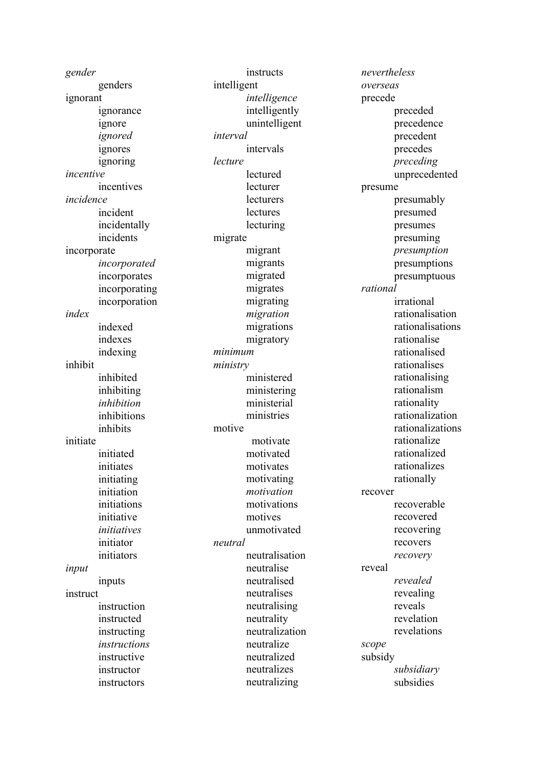*gender*  genders ignorant ignorance ignore *ignored*  ignores ignoring *incentive*  incentives *incidence* incident incidentally incidents incorporate *incorporated*  incorporates incorporating incorporation *index*  indexed indexes indexing inhibit inhibited inhibiting *inhibition*  inhibitions inhibits initiate initiated initiates initiating initiation initiations initiative *initiatives* initiator initiators *input*  inputs instruct instruction instructed instructing *instructions*  instructive instructor

instructors

instructs intelligent *intelligence* intelligently unintelligent *interval*  intervals *lecture*  lectured lecturer **lecturers lectures** lecturing migrate migrant migrants migrated migrates migrating *migration*  migrations migratory *minimum ministry*  ministered ministering ministerial ministries motive motivate motivated motivates motivating *motivation*  motivations motives unmotivated *neutral*  neutralisation neutralise neutralised neutralises neutralising neutrality neutralization neutralize neutralized neutralizes neutralizing

*nevertheless overseas*  precede preceded precedence precedent precedes *preceding*  unprecedented presume presumably presumed presumes presuming *presumption*  presumptions presumptuous *rational*  irrational rationalisation rationalisations rationalise rationalised rationalises rationalising rationalism rationality rationalization rationalizations rationalize rationalized rationalizes rationally recover recoverable recovered recovering recovers *recovery*  reveal *revealed*  revealing reveals revelation revelations *scope*  subsidy *subsidiary*  subsidies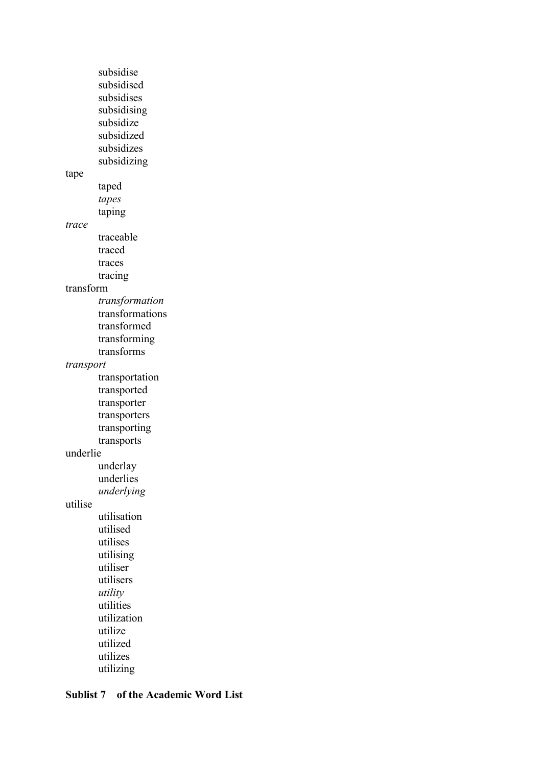subsidise subsidised subsidises subsidising subsidize subsidized subsidizes subsidizing tape taped *tapes*  taping *trace*  traceable traced traces tracing transform *transformation*  transformations transformed transforming transforms *transport*  transportation transported transporter transporters transporting transports underlie underlay underlies *underlying*  utilise utilisation utilised utilises utilising utiliser utilisers *utility*  utilities utilization utilize utilized utilizes utilizing

### **Sublist 7 of the Academic Word List**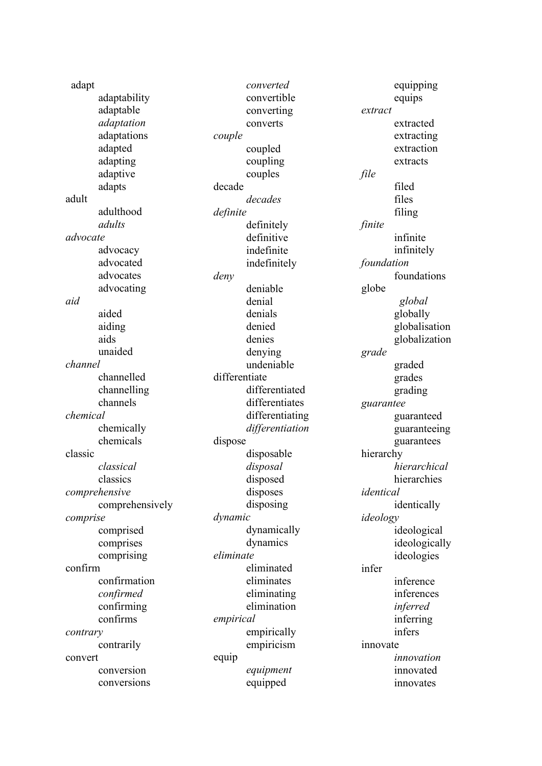| adapt    |                 |           | converted       |            | equipping     |
|----------|-----------------|-----------|-----------------|------------|---------------|
|          | adaptability    |           | convertible     |            | equips        |
|          | adaptable       |           | converting      | extract    |               |
|          | adaptation      |           | converts        |            | extracted     |
|          | adaptations     | couple    |                 |            | extracting    |
|          | adapted         |           | coupled         |            | extraction    |
|          | adapting        |           | coupling        |            | extracts      |
|          | adaptive        |           | couples         | file       |               |
|          | adapts          | decade    |                 |            | filed         |
| adult    |                 |           | decades         |            | files         |
|          | adulthood       | definite  |                 |            | filing        |
|          | adults          |           | definitely      | finite     |               |
| advocate |                 |           | definitive      |            | infinite      |
|          | advocacy        |           | indefinite      |            | infinitely    |
|          | advocated       |           | indefinitely    | foundation |               |
|          | advocates       | deny      |                 |            | foundations   |
|          | advocating      |           | deniable        | globe      |               |
| aid      |                 |           | denial          |            | global        |
|          | aided           |           | denials         |            | globally      |
|          | aiding          |           | denied          |            | globalisation |
|          | aids            |           | denies          |            | globalization |
|          | unaided         |           | denying         | grade      |               |
| channel  |                 |           | undeniable      |            | graded        |
|          | channelled      |           | differentiate   |            | grades        |
|          | channelling     |           | differentiated  |            | grading       |
|          | channels        |           | differentiates  | guarantee  |               |
| chemical |                 |           | differentiating |            | guaranteed    |
|          | chemically      |           | differentiation |            | guaranteeing  |
|          | chemicals       | dispose   |                 |            | guarantees    |
| classic  |                 |           | disposable      | hierarchy  |               |
|          | classical       |           | disposal        |            | hierarchical  |
|          | classics        |           | disposed        |            | hierarchies   |
|          | comprehensive   |           | disposes        | identical  |               |
|          | comprehensively |           | disposing       |            | identically   |
| comprise |                 | dynamic   |                 | ideology   |               |
|          | comprised       |           | dynamically     |            | ideological   |
|          | comprises       |           | dynamics        |            | ideologically |
|          | comprising      | eliminate |                 |            | ideologies    |
| confirm  |                 |           | eliminated      | infer      |               |
|          | confirmation    |           | eliminates      |            | inference     |
|          | confirmed       |           | eliminating     |            | inferences    |
|          | confirming      |           | elimination     |            | inferred      |
|          | confirms        | empirical |                 |            | inferring     |
|          |                 |           | empirically     |            | infers        |
| contrary | contrarily      |           | empiricism      | innovate   |               |
|          |                 |           |                 |            | innovation    |
| convert  | conversion      | equip     |                 |            |               |
|          |                 |           | equipment       |            | innovated     |
|          | conversions     |           | equipped        |            | innovates     |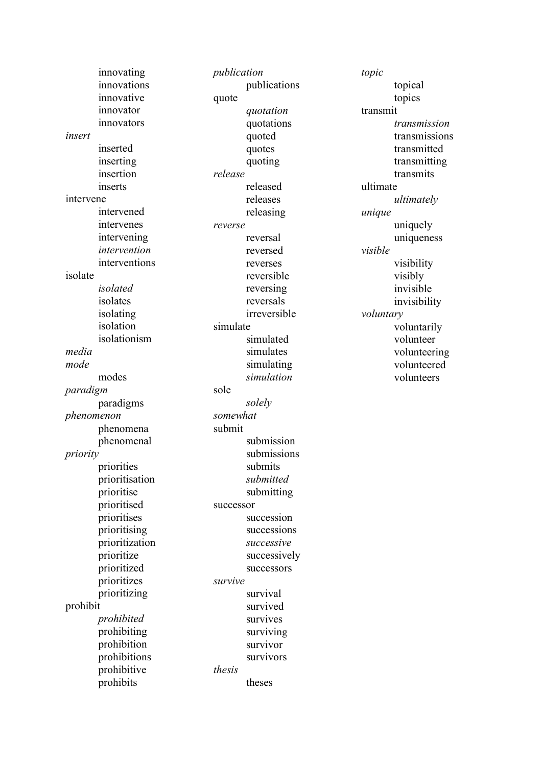innovating innovations innovative innovator innovators *insert*  inserted inserting insertion inserts intervene intervened intervenes intervening *intervention*  interventions isolate *isolated*  isolates isolating isolation isolationism *media mode*  modes *paradigm* paradigms *phenomenon*  phenomena phenomenal *priority* priorities prioritisation prioritise prioritised prioritises prioritising prioritization prioritize prioritized prioritizes prioritizing prohibit *prohibited*  prohibiting prohibition prohibitions prohibitive prohibits

*publication*  publications quote *quotation*  quotations quoted quotes quoting *release*  released releases releasing *reverse*  reversal reversed reverses reversible reversing reversals irreversible simulate simulated simulates simulating *simulation*  sole *solely somewhat*  submit submission submissions submits *submitted*  submitting successor succession successions *successive*  successively successors *survive*  survival survived survives surviving survivor survivors *thesis*  theses

*topic*  topical topics transmit *transmission*  transmissions transmitted transmitting transmits ultimate *ultimately unique*  uniquely uniqueness *visible* visibility visibly invisible invisibility *voluntary* voluntarily volunteer volunteering volunteered volunteers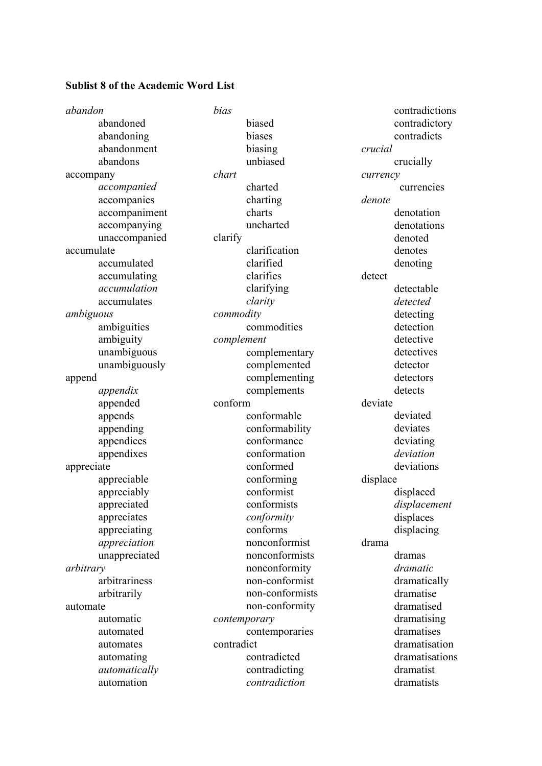## **Sublist 8 of the Academic Word List**

| abandon                    | bias            | contradictions            |
|----------------------------|-----------------|---------------------------|
| abandoned                  | biased          | contradictory             |
| abandoning                 | biases          | contradicts               |
| abandonment                | biasing         | crucial                   |
| abandons                   | unbiased        | crucially                 |
| accompany                  | chart           | currency                  |
| accompanied                | charted         | currencies                |
| accompanies                | charting        | denote                    |
| accompaniment              | charts          | denotation                |
| accompanying               | uncharted       | denotations               |
| unaccompanied              | clarify         | denoted                   |
| accumulate                 | clarification   | denotes                   |
| accumulated                | clarified       | denoting                  |
| accumulating               | clarifies       | detect                    |
| accumulation               | clarifying      | detectable                |
| accumulates                | clarity         | detected                  |
| ambiguous                  | commodity       | detecting                 |
| ambiguities                | commodities     | detection                 |
| ambiguity                  | complement      | detective                 |
| unambiguous                | complementary   | detectives                |
| unambiguously              | complemented    | detector                  |
| append                     | complementing   | detectors                 |
| appendix                   | complements     | detects                   |
|                            |                 |                           |
| appended                   | conform         | deviate                   |
| appends                    | conformable     | deviated                  |
| appending                  | conformability  | deviates                  |
| appendices                 | conformance     | deviating                 |
| appendixes                 | conformation    | deviation                 |
| appreciate                 | conformed       | deviations                |
| appreciable                | conforming      | displace                  |
|                            | conformist      | displaced                 |
| appreciably<br>appreciated | conformists     |                           |
| appreciates                | conformity      | displacement<br>displaces |
| appreciating               | conforms        | displacing                |
| appreciation               | nonconformist   | drama                     |
| unappreciated              | nonconformists  | dramas                    |
| arbitrary                  | nonconformity   | dramatic                  |
| arbitrariness              | non-conformist  | dramatically              |
| arbitrarily                | non-conformists | dramatise                 |
| automate                   | non-conformity  | dramatised                |
| automatic                  | contemporary    | dramatising               |
| automated                  | contemporaries  | dramatises                |
| automates                  | contradict      | dramatisation             |
| automating                 | contradicted    | dramatisations            |
| automatically              | contradicting   | dramatist                 |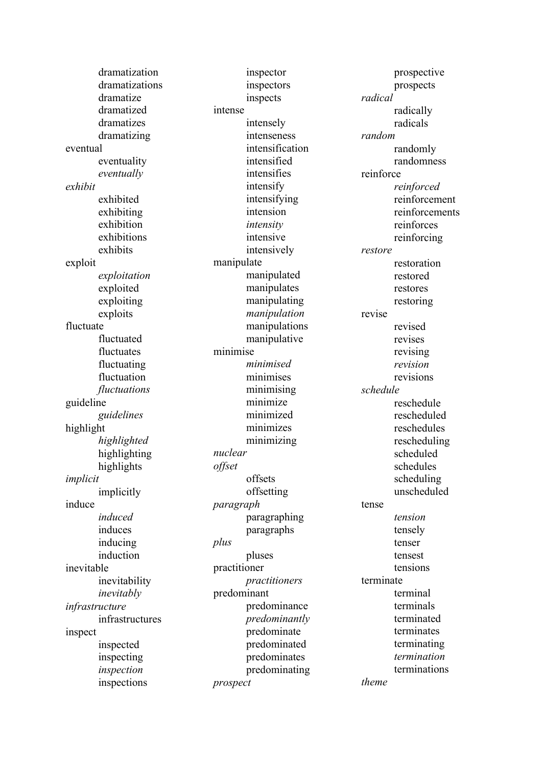dramatization dramatizations dramatize dramatized dramatizes dramatizing eventual eventuality *eventually exhibit* exhibited exhibiting exhibition exhibitions exhibits exploit *exploitation*  exploited exploiting exploits fluctuate fluctuated fluctuates fluctuating fluctuation *fluctuations*  guideline *guidelines*  highlight *highlighted*  highlighting highlights *implicit* implicitly induce *induced* induces inducing induction inevitable inevitability *inevitably infrastructure*  infrastructures inspect inspected inspecting *inspection*  inspections

inspector inspectors inspects intense intensely intenseness intensification intensified intensifies intensify intensifying intension *intensity* intensive intensively manipulate manipulated manipulates manipulating *manipulation*  manipulations manipulative minimise *minimised* minimises minimising minimize minimized minimizes minimizing *nuclear offset* offsets offsetting *paragraph* paragraphing paragraphs *plus* pluses practitioner *practitioners* predominant predominance *predominantly* predominate predominated predominates predominating *prospect*

prospective prospects *radical* radically radicals *random* randomly randomness reinforce *reinforced* reinforcement reinforcements reinforces reinforcing *restore* restoration restored restores restoring revise revised revises revising *revision* revisions *schedule* reschedule rescheduled reschedules rescheduling scheduled schedules scheduling unscheduled tense *tension* tensely tenser tensest tensions terminate terminal terminals terminated terminates terminating *termination* terminations *theme*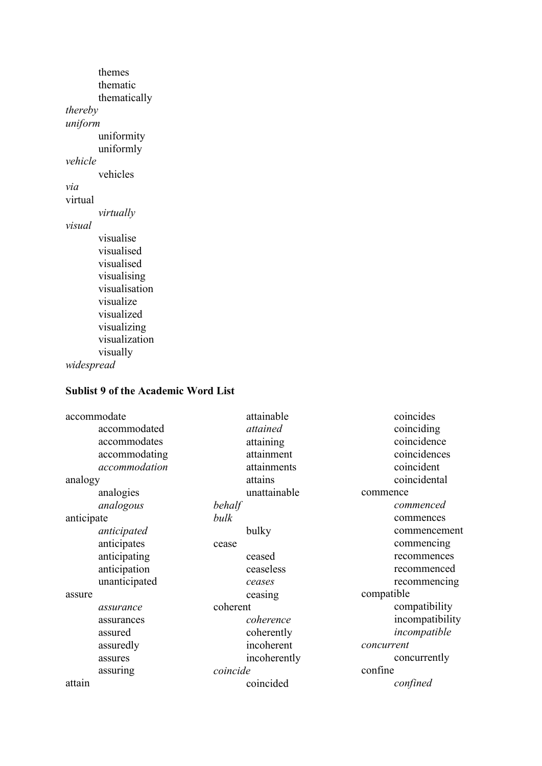themes thematic thematically *thereby uniform* uniformity uniformly *vehicle* vehicles *via* virtual *virtually visual* visualise visualised visualised visualising visualisation visualize visualized visualizing visualization visually *widespread* 

## **Sublist 9 of the Academic Word List**

| accommodate   | attainable   | coincides       |
|---------------|--------------|-----------------|
| accommodated  | attained     | coinciding      |
| accommodates  | attaining    | coincidence     |
| accommodating | attainment   | coincidences    |
| accommodation | attainments  | coincident      |
| analogy       | attains      | coincidental    |
| analogies     | unattainable | commence        |
| analogous     | behalf       | commenced       |
| anticipate    | bulk         | commences       |
| anticipated   | bulky        | commencement    |
| anticipates   | cease        | commencing      |
| anticipating  | ceased       | recommences     |
| anticipation  | ceaseless    | recommenced     |
| unanticipated | ceases       | recommencing    |
| assure        | ceasing      | compatible      |
| assurance     | coherent     | compatibility   |
| assurances    | coherence    | incompatibility |
| assured       | coherently   | incompatible    |
| assuredly     | incoherent   | concurrent      |
| assures       | incoherently | concurrently    |
| assuring      | coincide     | confine         |
| attain        | coincided    | confined        |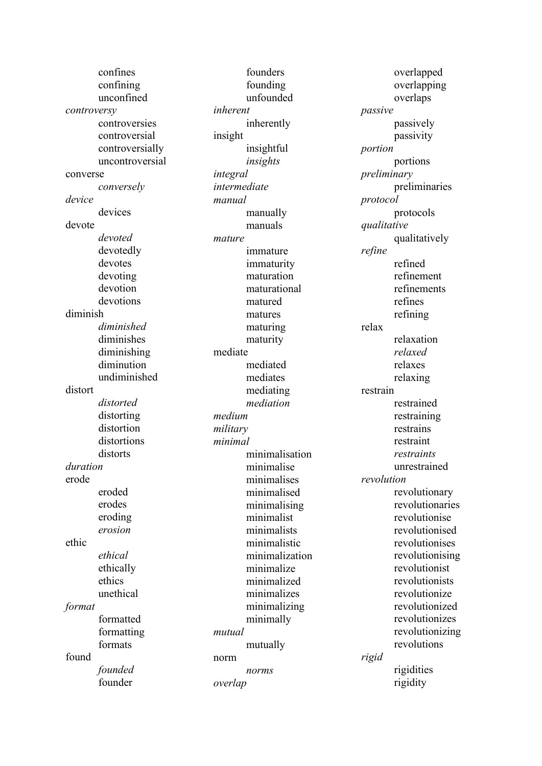confines confining unconfined *controversy*  controversies controversial controversially uncontroversial converse *conversely device* devices devote *devoted* devotedly devotes devoting devotion devotions diminish *diminished* diminishes diminishing diminution undiminished distort *distorted* distorting distortion distortions distorts *duration* erode eroded erodes eroding *erosion* ethic *ethical* ethically ethics unethical *format* formatted formatting formats found *founded* founder

founders founding unfounded *inherent* inherently insight insightful *insights integral intermediate manual* manually manuals *mature* immature immaturity maturation maturational matured matures maturing maturity mediate mediated mediates mediating *mediation medium military minimal* minimalisation minimalise minimalises minimalised minimalising minimalist minimalists minimalistic minimalization minimalize minimalized minimalizes minimalizing minimally *mutual* mutually norm *norms overlap*

overlapped overlapping overlaps *passive* passively passivity *portion* portions *preliminary* preliminaries *protocol* protocols *qualitative* qualitatively *refine* refined refinement refinements refines refining relax relaxation *relaxed* relaxes relaxing restrain restrained restraining restrains restraint *restraints* unrestrained *revolution* revolutionary revolutionaries revolutionise revolutionised revolutionises revolutionising revolutionist revolutionists revolutionize revolutionized revolutionizes revolutionizing revolutions *rigid* rigidities rigidity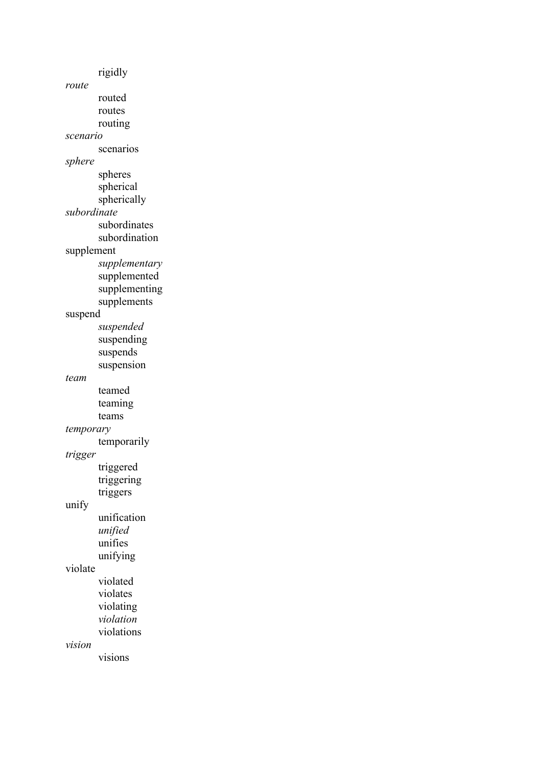rigidly *route* routed routes routing *scenario* scenarios *sphere* spheres spherical spherically *subordinate* subordinates subordination supplement *supplementary*  supplemented supplementing supplements suspend *suspended* suspending suspends suspension *team* teamed teaming teams *temporary* temporarily *trigger* triggered triggering triggers unify unification *unified* unifies unifying violate violated violates violating *violation* violations *vision* visions